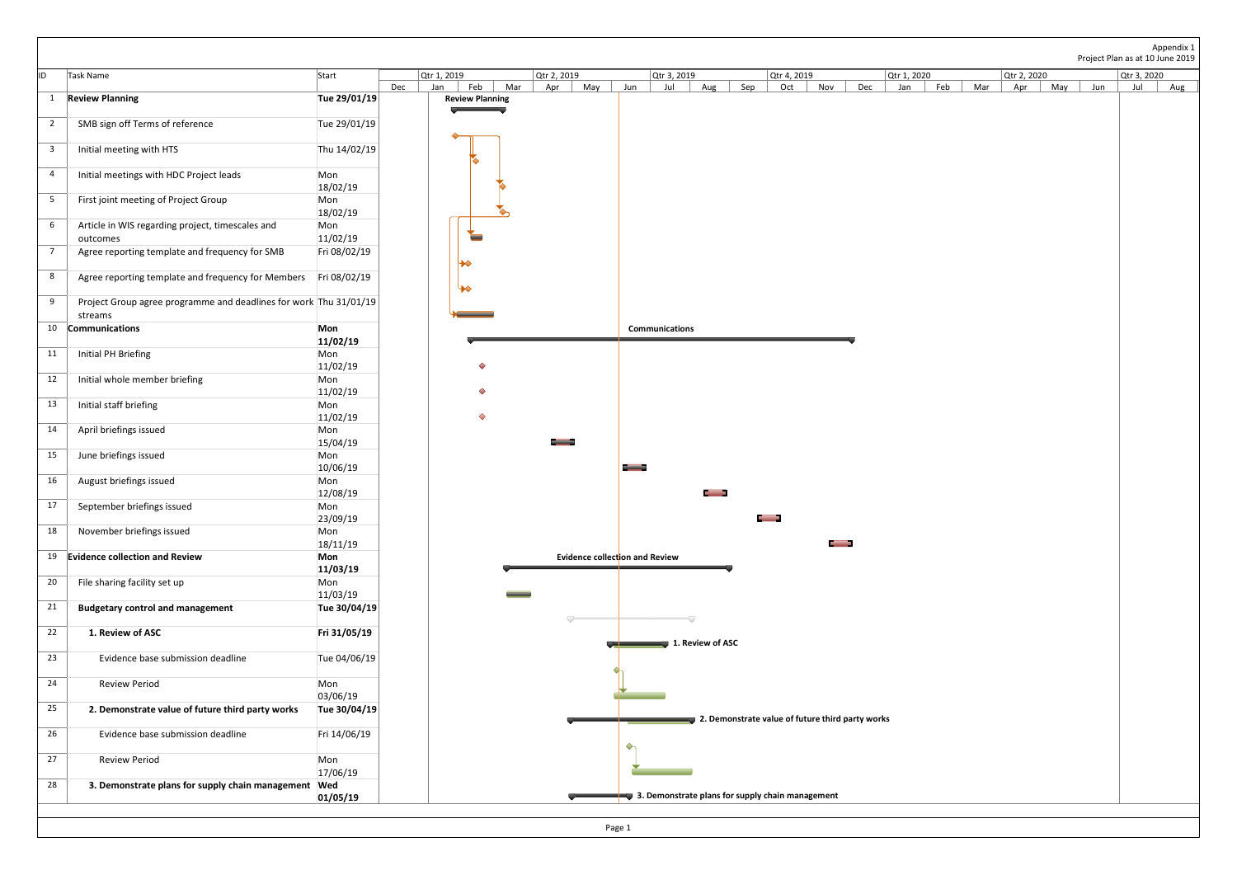|                 |                                                                   |                          |                           |                        |                           |                                                  |                      |                                                  |                           |                                      | Appendix 1<br>Project Plan as at 10 June 2019 |
|-----------------|-------------------------------------------------------------------|--------------------------|---------------------------|------------------------|---------------------------|--------------------------------------------------|----------------------|--------------------------------------------------|---------------------------|--------------------------------------|-----------------------------------------------|
| lid.            | Task Name                                                         | Start                    | Qtr 1, 2019<br>Dec<br>Jan | Feb<br>Mar             | Qtr 2, 2019<br>May<br>Apr | Qtr 3, 2019<br>Jun<br>Aug<br>Jul                 | Sep                  | Qtr 4, 2019<br>Dec<br>Oct<br>Nov                 | Qtr 1, 2020<br>Feb<br>Jan | Qtr 2, 2020<br>Mar<br>May Jun<br>Apr | Qtr 3, 2020<br>Jul<br>Aug                     |
|                 | 1 Review Planning                                                 | Tue 29/01/19             |                           | <b>Review Planning</b> |                           |                                                  |                      |                                                  |                           |                                      |                                               |
| $\overline{2}$  | SMB sign off Terms of reference                                   | Tue 29/01/19             |                           |                        |                           |                                                  |                      |                                                  |                           |                                      |                                               |
| $\overline{3}$  | Initial meeting with HTS                                          | Thu $14/02/19$           |                           |                        |                           |                                                  |                      |                                                  |                           |                                      |                                               |
| $\overline{4}$  | Initial meetings with HDC Project leads                           | Mon<br>18/02/19          |                           |                        |                           |                                                  |                      |                                                  |                           |                                      |                                               |
| $5\overline{)}$ | First joint meeting of Project Group                              | Mon<br>18/02/19          |                           |                        |                           |                                                  |                      |                                                  |                           |                                      |                                               |
| $6\overline{6}$ | Article in WIS regarding project, timescales and<br>outcomes      | Mon<br>11/02/19          |                           | Е                      |                           |                                                  |                      |                                                  |                           |                                      |                                               |
| $\overline{7}$  | Agree reporting template and frequency for SMB                    | Fri 08/02/19             |                           |                        |                           |                                                  |                      |                                                  |                           |                                      |                                               |
| 8               | Agree reporting template and frequency for Members Fri 08/02/19   |                          | $\blacktriangleright$     |                        |                           |                                                  |                      |                                                  |                           |                                      |                                               |
| 9               | Project Group agree programme and deadlines for work Thu 31/01/19 |                          |                           |                        |                           |                                                  |                      |                                                  |                           |                                      |                                               |
|                 | streams<br>10 Communications                                      | Mon                      |                           |                        |                           | <b>Communications</b>                            |                      |                                                  |                           |                                      |                                               |
| 11              | Initial PH Briefing                                               | 11/02/19<br>Mon          |                           |                        |                           |                                                  |                      |                                                  |                           |                                      |                                               |
| 12              | Initial whole member briefing                                     | 11/02/19<br>Mon          |                           |                        |                           |                                                  |                      |                                                  |                           |                                      |                                               |
| 13              | Initial staff briefing                                            | 11/02/19<br>Mon          |                           |                        |                           |                                                  |                      |                                                  |                           |                                      |                                               |
|                 |                                                                   | 11/02/19                 |                           | ♦                      |                           |                                                  |                      |                                                  |                           |                                      |                                               |
| 14              | April briefings issued                                            | Mon<br>15/04/19          |                           |                        | C——3                      |                                                  |                      |                                                  |                           |                                      |                                               |
| 15              | June briefings issued                                             | Mon<br>10/06/19          |                           |                        |                           |                                                  |                      |                                                  |                           |                                      |                                               |
| 16              | August briefings issued                                           | Mon<br>12/08/19          |                           |                        |                           | <b>Common</b>                                    |                      |                                                  |                           |                                      |                                               |
| 17              | September briefings issued                                        | Mon<br>23/09/19          |                           |                        |                           |                                                  | <b>Communication</b> |                                                  |                           |                                      |                                               |
| 18              | November briefings issued                                         | Mon<br>18/11/19          |                           |                        |                           |                                                  |                      | $\mathsf{C} = \mathsf{D}$                        |                           |                                      |                                               |
|                 | 19 Evidence collection and Review                                 | <b>Mon</b><br>11/03/19   |                           |                        |                           | Evidence collection and Review                   |                      |                                                  |                           |                                      |                                               |
| 20              | File sharing facility set up                                      | Mon                      |                           |                        |                           |                                                  |                      |                                                  |                           |                                      |                                               |
| 21              | <b>Budgetary control and management</b>                           | 11/03/19<br>Tue 30/04/19 |                           |                        |                           |                                                  |                      |                                                  |                           |                                      |                                               |
| 22              | 1. Review of ASC                                                  | Fri 31/05/19             |                           |                        |                           |                                                  |                      |                                                  |                           |                                      |                                               |
| 23              | Evidence base submission deadline                                 | Tue 04/06/19             |                           |                        |                           | 1. Review of ASC<br>$\blacksquare$               |                      |                                                  |                           |                                      |                                               |
| 24              | <b>Review Period</b>                                              | Mon                      |                           |                        |                           |                                                  |                      |                                                  |                           |                                      |                                               |
| 25              | 2. Demonstrate value of future third party works                  | 03/06/19<br>Tue 30/04/19 |                           |                        |                           |                                                  |                      |                                                  |                           |                                      |                                               |
| 26              | Evidence base submission deadline                                 | Fri 14/06/19             |                           |                        |                           | $\rightarrow$                                    |                      | 2. Demonstrate value of future third party works |                           |                                      |                                               |
| 27              | <b>Review Period</b>                                              | Mon<br>17/06/19          |                           |                        |                           |                                                  |                      |                                                  |                           |                                      |                                               |
| 28              | 3. Demonstrate plans for supply chain management Wed              |                          |                           |                        |                           | 3. Demonstrate plans for supply chain management |                      |                                                  |                           |                                      |                                               |
|                 |                                                                   | 01/05/19                 |                           |                        |                           |                                                  |                      |                                                  |                           |                                      |                                               |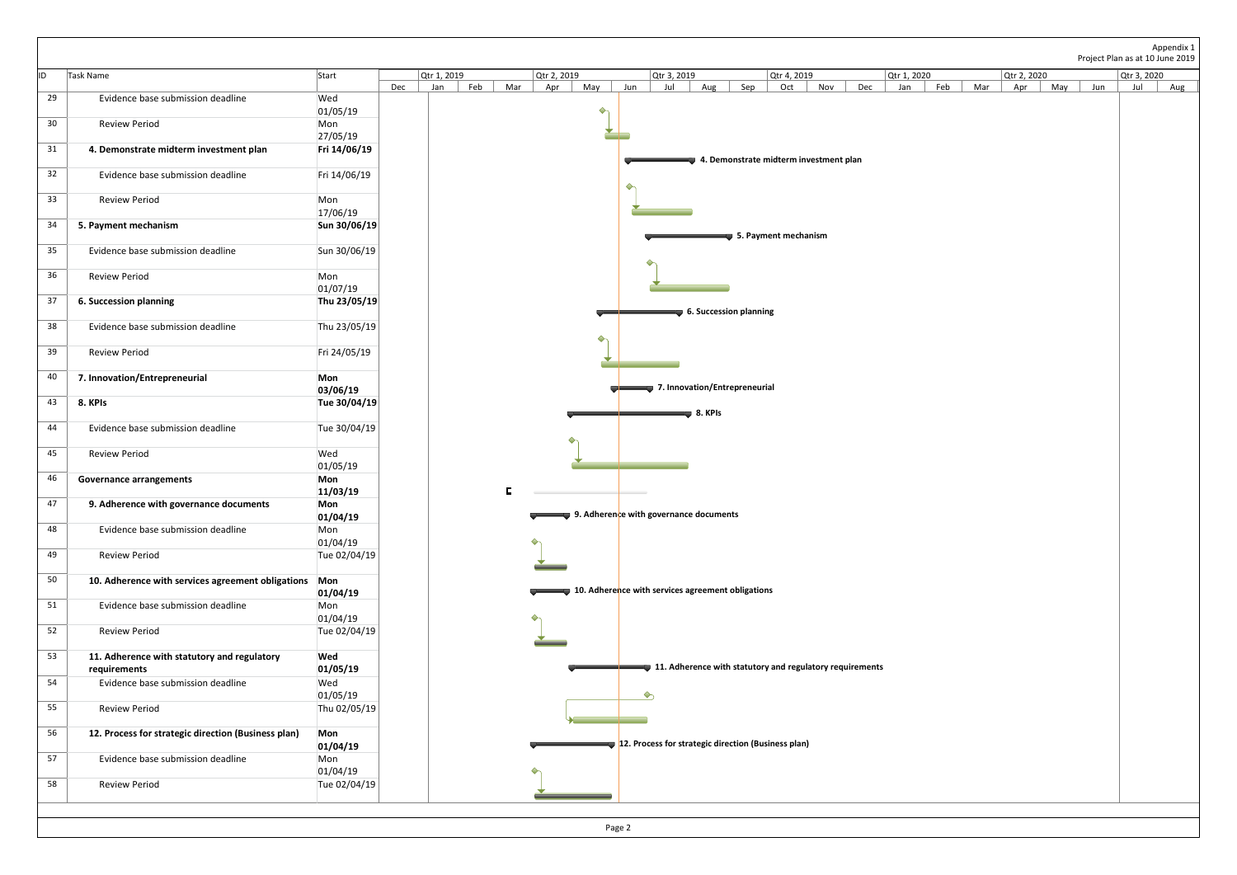|                 |                                                             |                          |                                                                                                       | Appendix 1                                                    |
|-----------------|-------------------------------------------------------------|--------------------------|-------------------------------------------------------------------------------------------------------|---------------------------------------------------------------|
| lid.            | Task Name                                                   | Start                    | Qtr 1, 2019<br>Qtr 2, 2019<br>Qtr 3, 2019<br>Qtr 4, 2019<br>Qtr 1, 2020                               | Project Plan as at 10 June 2019<br>Qtr 2, 2020<br>Qtr 3, 2020 |
| 29              | Evidence base submission deadline                           | Wed                      | Feb<br>Mar<br>Sep<br>Dec<br>May<br>Dec<br>Feb<br>Jan<br>Apr<br>Jun<br>Jul<br>Aug<br>Oct<br>Nov<br>Jan | Mar<br>$\vert$ Jun<br>Apr<br>May<br>Jul<br>Aug                |
| 30 <sub>o</sub> | <b>Review Period</b>                                        | 01/05/19<br>Mon          | ◆                                                                                                     |                                                               |
| 31              | 4. Demonstrate midterm investment plan                      | 27/05/19<br>Fri 14/06/19 | 4. Demonstrate midterm investment plan                                                                |                                                               |
| 32              | Evidence base submission deadline                           | Fri 14/06/19             |                                                                                                       |                                                               |
| 33              | <b>Review Period</b>                                        | Mon                      |                                                                                                       |                                                               |
| 34              | 5. Payment mechanism                                        | 17/06/19<br>Sun 30/06/19 | 5. Payment mechanism                                                                                  |                                                               |
| 35              | Evidence base submission deadline                           | Sun 30/06/19             | ♦                                                                                                     |                                                               |
| 36              | <b>Review Period</b>                                        | Mon<br>01/07/19          |                                                                                                       |                                                               |
| 37              | <b>6. Succession planning</b>                               | Thu 23/05/19             | 6. Succession planning                                                                                |                                                               |
| 38              | Evidence base submission deadline                           | Thu 23/05/19             | $\Diamond$                                                                                            |                                                               |
| 39              | <b>Review Period</b>                                        | Fri 24/05/19             |                                                                                                       |                                                               |
| 40              | 7. Innovation/Entrepreneurial                               | Mon<br>03/06/19          | 7. Innovation/Entrepreneurial                                                                         |                                                               |
| 43              | 8. KPIs                                                     | Tue 30/04/19             | $\bullet$ 8. KPIs                                                                                     |                                                               |
| 44              | Evidence base submission deadline                           | Tue 30/04/19             |                                                                                                       |                                                               |
| 45              | <b>Review Period</b>                                        | Wed<br>01/05/19          |                                                                                                       |                                                               |
| 46              | <b>Governance arrangements</b>                              | <b>Mon</b><br>11/03/19   | F                                                                                                     |                                                               |
| 47              | 9. Adherence with governance documents                      | Mon<br>01/04/19          | 9. Adherence with governance documents                                                                |                                                               |
| 48              | Evidence base submission deadline                           | Mon<br>01/04/19          |                                                                                                       |                                                               |
| 49              | <b>Review Period</b>                                        | Tue 02/04/19             |                                                                                                       |                                                               |
| 50              | 10. Adherence with services agreement obligations Mon       | 01/04/19                 | 10. Adherence with services agreement obligations                                                     |                                                               |
| 51              | Evidence base submission deadline                           | Mon<br>01/04/19          |                                                                                                       |                                                               |
| 52              | <b>Review Period</b>                                        | Tue 02/04/19             |                                                                                                       |                                                               |
| 53              | 11. Adherence with statutory and regulatory<br>requirements | Wed<br>01/05/19          | 11. Adherence with statutory and regulatory requirements                                              |                                                               |
| 54              | Evidence base submission deadline                           | Wed<br>01/05/19          | $\Diamond$                                                                                            |                                                               |
| 55              | <b>Review Period</b>                                        | Thu 02/05/19             |                                                                                                       |                                                               |
| 56              | 12. Process for strategic direction (Business plan)         | <b>Mon</b><br>01/04/19   | 12. Process for strategic direction (Business plan)                                                   |                                                               |
| 57              | Evidence base submission deadline                           | Mon<br>01/04/19          |                                                                                                       |                                                               |
| 58              | <b>Review Period</b>                                        | Tue 02/04/19             |                                                                                                       |                                                               |